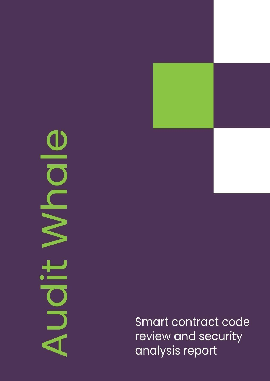DDN DODD<br>D

Smart contract code review and security analysis report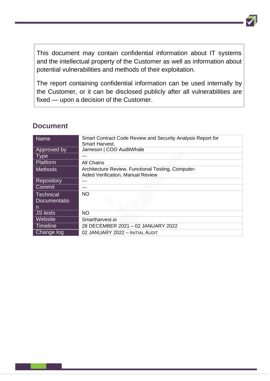

This document may contain confidential information about IT systems and the intellectual property of the Customer as well as information about potential vulnerabilities and methods of their exploitation.

The report containing confidential information can be used internally by the Customer, or it can be disclosed publicly after all vulnerabilities are fixed — upon a decision of the Customer.

## **Document**

| <b>Name</b>       | Smart Contract Code Review and Security Analysis Report for<br><b>Smart Harvest.</b>    |  |
|-------------------|-----------------------------------------------------------------------------------------|--|
| Approved by       | Jameson   COO AuditWhale                                                                |  |
| <b>Type</b>       |                                                                                         |  |
| Platform          | <b>All Chains</b>                                                                       |  |
| <b>Methods</b>    | Architecture Review, Functional Testing, Computer-<br>Aided Verification, Manual Review |  |
| <b>Repository</b> |                                                                                         |  |
| Commit            |                                                                                         |  |
| Technical         | <b>NO</b>                                                                               |  |
| Documentatio      |                                                                                         |  |
| n                 |                                                                                         |  |
| JS tests          | <b>NO</b>                                                                               |  |
| Website           | Smartharvest.io                                                                         |  |
| Timeline          | 28 DECEMBER 2021 - 02 JANUARY 2022                                                      |  |
| Change log        | 02 JANUARY 2022 - INITIAL AUDIT                                                         |  |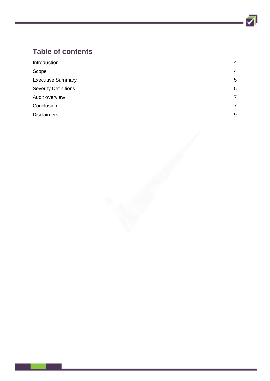# **Table of contents**

| Introduction                | 4              |
|-----------------------------|----------------|
| Scope                       | $\overline{4}$ |
| <b>Executive Summary</b>    | 5              |
| <b>Severity Definitions</b> | 5              |
| Audit overview              | $\overline{7}$ |
| Conclusion                  | $\overline{7}$ |
| <b>Disclaimers</b>          | 9              |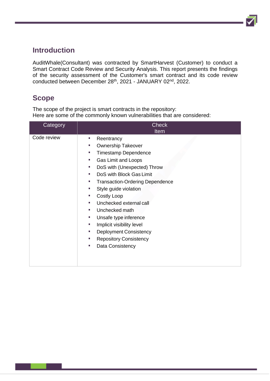

## <span id="page-3-0"></span>**Introduction**

AuditWhale(Consultant) was contracted by SmartHarvest (Customer) to conduct a Smart Contract Code Review and Security Analysis. This report presents the findings of the security assessment of the Customer's smart contract and its code review conducted between December 28th, 2021 - JANUARY 02nd, 2022.

# <span id="page-3-1"></span>**Scope**

The scope of the project is smart contracts in the repository: Here are some of the commonly known vulnerabilities that are considered:

| Category    | <b>Check</b>                                                                                                                                                                                                                                                                   |
|-------------|--------------------------------------------------------------------------------------------------------------------------------------------------------------------------------------------------------------------------------------------------------------------------------|
|             | <b>Item</b>                                                                                                                                                                                                                                                                    |
| Code review | Reentrancy<br>٠<br><b>Ownership Takeover</b><br>ш                                                                                                                                                                                                                              |
|             | <b>Timestamp Dependence</b><br><b>Gas Limit and Loops</b><br>DoS with (Unexpected) Throw<br>ш<br>DoS with Block Gas Limit<br><b>Transaction-Ordering Dependence</b><br>п<br>Style guide violation<br>ш<br><b>Costly Loop</b><br>٠<br>Unchecked external call<br>Unchecked math |
|             | Unsafe type inference<br>Implicit visibility level<br>ш<br><b>Deployment Consistency</b><br>ш<br><b>Repository Consistency</b><br>п<br>Data Consistency<br>ш                                                                                                                   |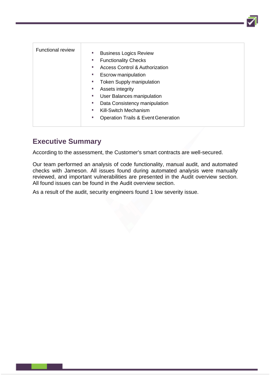| <b>Functional review</b> | <b>Business Logics Review</b><br><b>Functionality Checks</b><br><b>Access Control &amp; Authorization</b><br><b>Escrow manipulation</b><br><b>Token Supply manipulation</b><br>Assets integrity<br>User Balances manipulation<br>Data Consistency manipulation<br>Kill-Switch Mechanism<br>ш |
|--------------------------|----------------------------------------------------------------------------------------------------------------------------------------------------------------------------------------------------------------------------------------------------------------------------------------------|
|                          | <b>Operation Trails &amp; Event Generation</b>                                                                                                                                                                                                                                               |

# <span id="page-4-0"></span>**Executive Summary**

According to the assessment, the Customer's smart contracts are well-secured.

Our team performed an analysis of code functionality, manual audit, and automated checks with Jameson. All issues found during automated analysis were manually reviewed, and important vulnerabilities are presented in the Audit overview section. All found issues can be found in the Audit overview section.

As a result of the audit, security engineers found 1 low severity issue.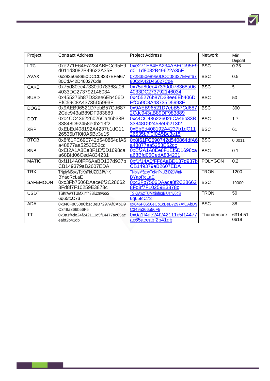| Project         | <b>Contract Address</b>          | <b>Project Address</b>        | <b>Network</b> | Min              |
|-----------------|----------------------------------|-------------------------------|----------------|------------------|
|                 |                                  |                               |                | Deposit          |
| <b>LTC</b>      | 0xe271E64EA234ABECc95E9          | 0xe271E64EA234ABECc95E9       | <b>BSC</b>     | 0.35             |
|                 | d011d8082B49622A35F              | d011d8082B49622A35F           |                |                  |
| <b>AVAX</b>     | 0x28350e8950DCC08337EFef67       | 0x28350e8950DCC08337EFef67    | <b>BSC</b>     | 0.5              |
|                 | 80CdA42D46027Cde                 | 80CdA42D46027Cde              |                |                  |
| <b>CAKE</b>     | 0x75d80ec47330d078368a06         | 0x75d80ec47330d078368a06      | <b>BSC</b>     | $\overline{5}$   |
|                 | 4033DC273792146034               | 4033DC273792146034            |                |                  |
| <b>BUSD</b>     | 0x455276b87D33ee6Eb406D          | 0x455276b87D33ee6Eb406D       | <b>BSC</b>     | $\overline{50}$  |
|                 | EfC59C8A43735D5993E              | EfC59C8A43735D5993E           |                |                  |
| <b>DOGE</b>     | 0x9AEB96521D7ebB57Cd687          | 0x9AEB96521D7ebB57Cd687       | <b>BSC</b>     | 300              |
|                 | 2Cdc943aB89DF983889              | 2Cdc943aB89DF983889           |                |                  |
| <b>DOT</b>      | 0xc4CC436226026Ca46b33B          | 0xc4CC436226026Ca46b33B       | <b>BSC</b>     | $\overline{1.7}$ |
|                 | 33848D92458e0b213f2              | 33848D92458e0b213f2           |                |                  |
| <b>XRP</b>      | 0xEbEd408192A4237b1dC11          | 0xEbEd408192A4237b1dC11       | <b>BSC</b>     | 61               |
|                 | 26535b7f0f0A5Bc3e15              | 26535b7f0f0A5Bc3e15           |                |                  |
| <b>BTCB</b>     | 0x8f61FC690742d540864dfA6        | 0x8f61FC690742d540864dfA6     | <b>BSC</b>     | 0.0011           |
|                 | a48877aa5253E52cc                | a48877aa5253E52cc             |                |                  |
| <b>BNB</b>      | 0xEf2A1A8Ee8F1Ef5D1698ca         | 0xEf2A1A8Ee8F1Ef5D1698ca      | <b>BSC</b>     | 0.1              |
|                 | a68Bfd06CedA834231               | a68Bfd06CedA834231            |                |                  |
| <b>MATIC</b>    | 0xf1f14A0fFF6AaBD137d937b        | 0xf1f14A0fFF6AaBD137d937b     | <b>POLYGON</b> | 0.2              |
|                 | CB149379aB2607EDA                | CB149379aB2607EDA             |                |                  |
| <b>TRX</b>      | TNpiyM5pxyTcKnPkUZiD2JWnK        | TNpiyM5pxyTcKnPkUZiD2JWnK     | <b>TRON</b>    | 1200             |
|                 | <b>BYaoRcLaE</b>                 | <b>BYaoRcLaE</b>              |                |                  |
| <b>SAFEMOON</b> | 0xc3Fb7506DAace8f2C28662         | 0xc3Fb7506DAace8f2C28662      | <b>BSC</b>     | 19000            |
|                 | 8Fd8f7F10259E3878c               | 8Fd8f7F10259E3878c            |                |                  |
| <b>USDT</b>     | TSKrAwzTUMXinfn3BiUznv6oS        | TSKrAwzTUMXinfn3BiUznv6oS     | <b>TRON</b>    | 50               |
|                 | 6q65tcC73                        | 6q65tcC73                     |                |                  |
| <b>ADA</b>      | 0x846F8650eCb1cBeB7297AfCAbD9    | 0x846F8650eCb1cBeB7297AfCAbD9 | <b>BSC</b>     | 38               |
|                 | C349a366b56F5                    | C349a366b56F5                 |                |                  |
| ТT              | 0x0a1f4de24f242111c5f14477ac65ac | 0x0a1f4de24f242111c5f14477    | Thundercore    | 6314.51          |
|                 | eabf2b41db                       | ac65aceabf2b41db              |                | 0619             |

- 기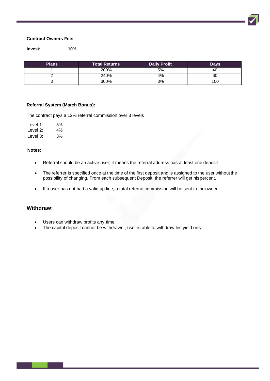#### **Contract Owners Fee:**

**Invest: 10%**

| <b>Plans</b> | <b>Total Returns</b> | <b>Daily Profit</b> | <b>Days</b> |
|--------------|----------------------|---------------------|-------------|
|              | 200%                 | 5%                  | 40          |
|              | 240%                 | 4%                  | 60          |
|              | 300%                 | 3%                  | 100         |

#### **Referral System (Match Bonus):**

The contract pays a 12% referral commission over 3 levels

Level 1: 5% Level 2: 4% Level 3: 3%

#### **Notes:**

- Referral should be an active user; it means the referral address has at least one deposit
- The referrer is specified once at the time of the first deposit and is assigned to the user without the possibility of changing. From each subsequent Deposit, the referrer will get hispercent.
- If a user has not had a valid up line, a total referral commission will be sent to the owner

#### **Withdraw:**

- Users can withdraw profits any time.
- The capital deposit cannot be withdrawn , user is able to withdraw his yield only .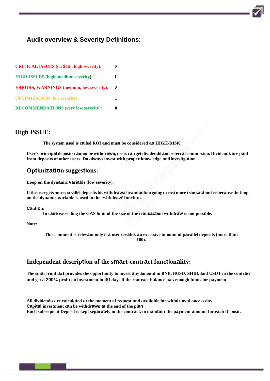## <span id="page-7-1"></span><span id="page-7-0"></span>**Audit overview & Severity Definitions:**

| <b>CRITICAL ISSUES</b> (critical, high severity): |  |
|---------------------------------------------------|--|
| <b>HIGH ISSUES</b> (high, medium severity):       |  |
| <b>ERRORS, WARNINGS (medium, low severity):</b>   |  |
| <b>OPTIMIZATION</b> (low severity):               |  |
| <b>RECOMMENDATIONS</b> (very low severity):       |  |

## **High ISSUE:**

**The system used is called ROI and must be considered as HIGH-RISK.**

User's principal deposits cannot be withdrawn, users can get dividends and referral commission. Dividends are paid **from deposits of other users. Do always invest with proper knowledge andinvestigation.**

## **Optimization suggestions:**

**Loop on the dynamic variable (low severity).**

If the user gets more parallel deposits his withdrawal transaction going to cost more transaction fee because the loop **on the dynamic variable is used in the 'withdraw'function.**

#### **Caution:**

**In case exceeding the GAS limit of the size of the transaction withdraw is not possible.**

**Note:**

**This comment is relevant only if a user creates an excessive amount of parallel deposits (more than 100).**

## **Independent description of the smart-contract functionality:**

**The smart contract provides the opportunity to invest any amount in BNB, BUSD, SHIB, and USDT in the contract** and get a 200% profit on investment in 40 days if the contract balance has enough funds for payment.

All dividends are calculated at the moment of request and available for withdrawal once a day **Capital investment can be withdrawn at the end of the plan** Each subsequent Deposit is kept separately in the contract, to maintain the payment amount for each Deposit.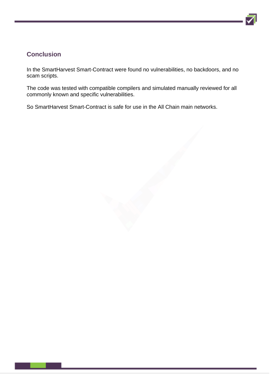# <span id="page-8-0"></span>**Conclusion**

In the SmartHarvest Smart-Contract were found no vulnerabilities, no backdoors, and no scam scripts.

The code was tested with compatible compilers and simulated manually reviewed for all commonly known and specific vulnerabilities.

So SmartHarvest Smart-Contract is safe for use in the All Chain main networks.